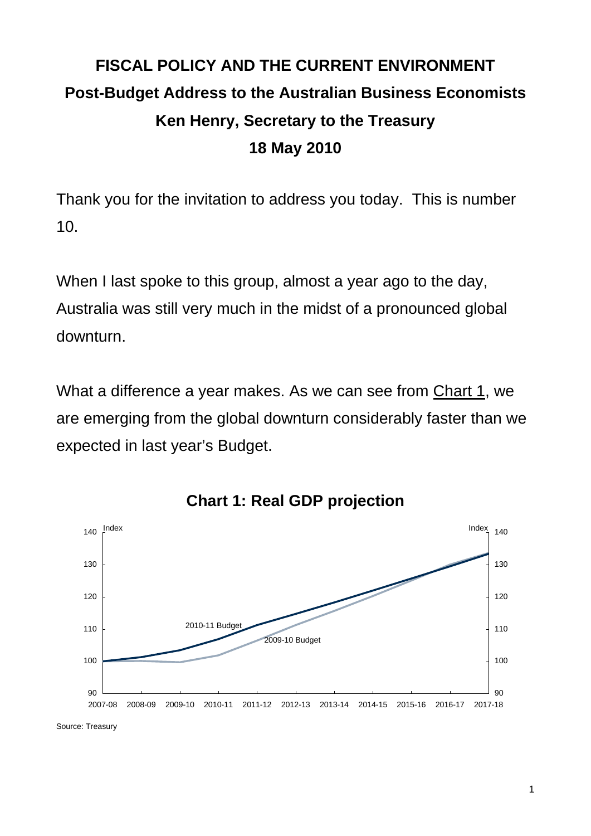# **FISCAL POLICY AND THE CURRENT ENVIRONMENT Post-Budget Address to the Australian Business Economists Ken Henry, Secretary to the Treasury 18 May 2010**

Thank you for the invitation to address you today. This is number 10.

When I last spoke to this group, almost a year ago to the day, Australia was still very much in the midst of a pronounced global downturn.

What a difference a year makes. As we can see from Chart 1, we are emerging from the global downturn considerably faster than we expected in last year's Budget.



**Chart 1: Real GDP projection** 

Source: Treasury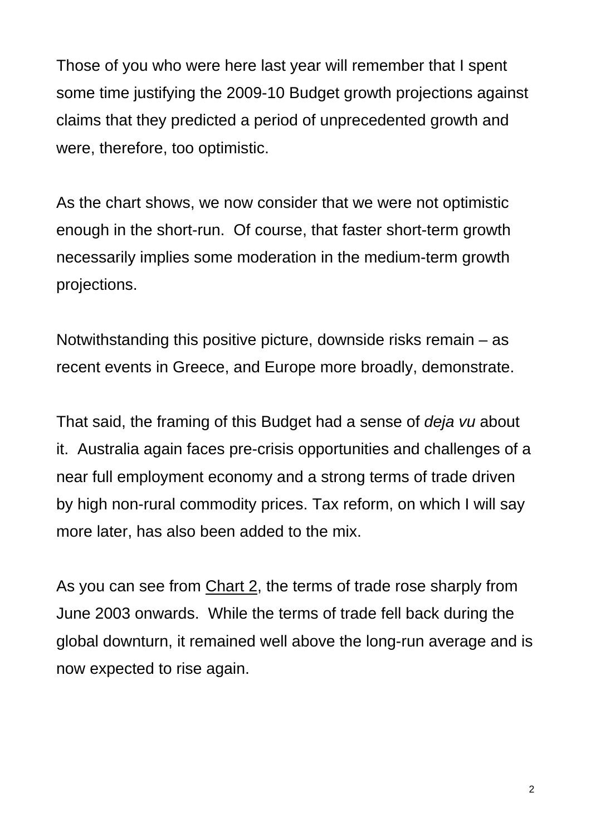Those of you who were here last year will remember that I spent some time justifying the 2009-10 Budget growth projections against claims that they predicted a period of unprecedented growth and were, therefore, too optimistic.

As the chart shows, we now consider that we were not optimistic enough in the short-run. Of course, that faster short-term growth necessarily implies some moderation in the medium-term growth projections.

Notwithstanding this positive picture, downside risks remain – as recent events in Greece, and Europe more broadly, demonstrate.

That said, the framing of this Budget had a sense of *deja vu* about it. Australia again faces pre-crisis opportunities and challenges of a near full employment economy and a strong terms of trade driven by high non-rural commodity prices. Tax reform, on which I will say more later, has also been added to the mix.

As you can see from Chart 2, the terms of trade rose sharply from June 2003 onwards. While the terms of trade fell back during the global downturn, it remained well above the long-run average and is now expected to rise again.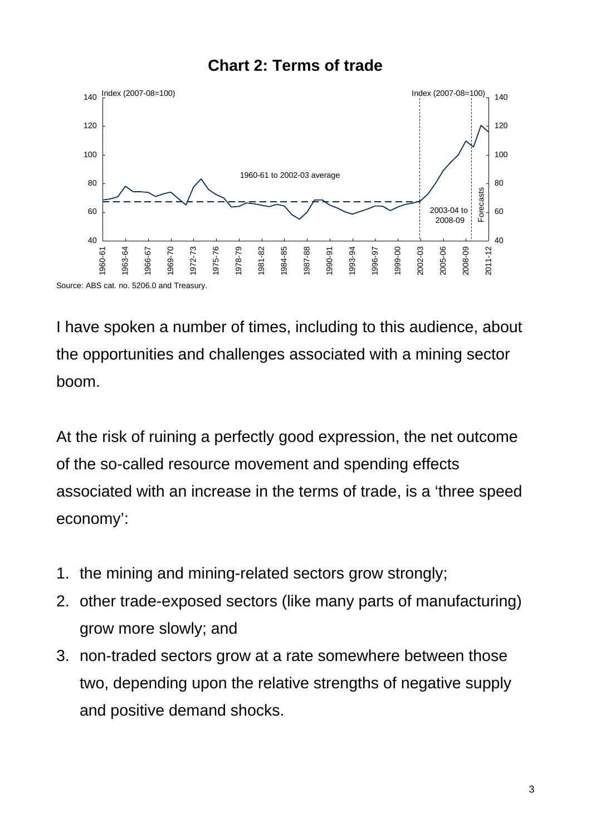#### **Chart 2: Terms of trade**



I have spoken a number of times, including to this audience, about the opportunities and challenges associated with a mining sector boom.

At the risk of ruining a perfectly good expression, the net outcome of the so-called resource movement and spending effects associated with an increase in the terms of trade, is a 'three speed economy':

- 1. the mining and mining-related sectors grow strongly;
- 2. other trade-exposed sectors (like many parts of manufacturing) grow more slowly; and
- 3. non-traded sectors grow at a rate somewhere between those two, depending upon the relative strengths of negative supply and positive demand shocks.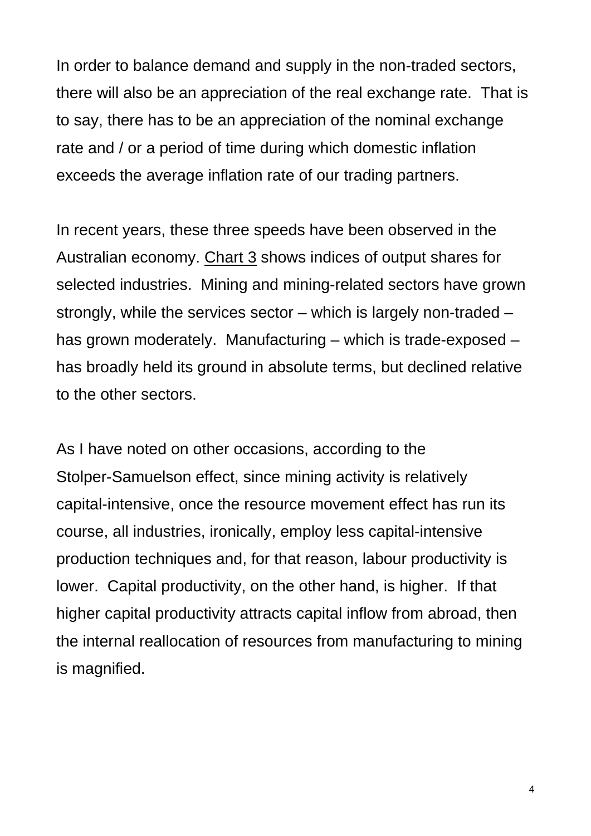In order to balance demand and supply in the non-traded sectors, there will also be an appreciation of the real exchange rate. That is to say, there has to be an appreciation of the nominal exchange rate and / or a period of time during which domestic inflation exceeds the average inflation rate of our trading partners.

In recent years, these three speeds have been observed in the Australian economy. Chart 3 shows indices of output shares for selected industries. Mining and mining-related sectors have grown strongly, while the services sector – which is largely non-traded – has grown moderately. Manufacturing – which is trade-exposed – has broadly held its ground in absolute terms, but declined relative to the other sectors.

As I have noted on other occasions, according to the Stolper-Samuelson effect, since mining activity is relatively capital-intensive, once the resource movement effect has run its course, all industries, ironically, employ less capital-intensive production techniques and, for that reason, labour productivity is lower. Capital productivity, on the other hand, is higher. If that higher capital productivity attracts capital inflow from abroad, then the internal reallocation of resources from manufacturing to mining is magnified.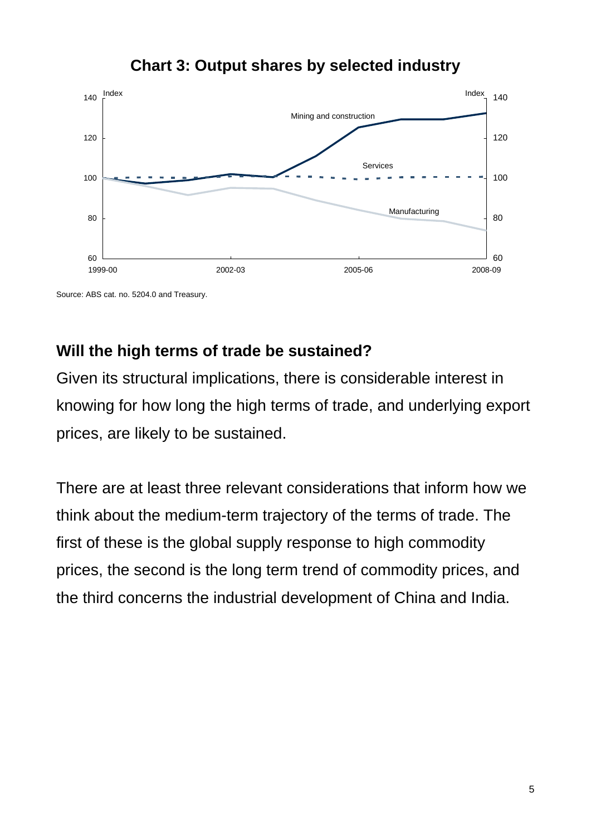#### 60 80 100 120 140 1999-00 2002-03 2005-06 2008-09 60 80 100 120 140 Mining and construction Services Manufacturing Index Index

### **Chart 3: Output shares by selected industry**

Source: ABS cat. no. 5204.0 and Treasury.

### **Will the high terms of trade be sustained?**

Given its structural implications, there is considerable interest in knowing for how long the high terms of trade, and underlying export prices, are likely to be sustained.

There are at least three relevant considerations that inform how we think about the medium-term trajectory of the terms of trade. The first of these is the global supply response to high commodity prices, the second is the long term trend of commodity prices, and the third concerns the industrial development of China and India.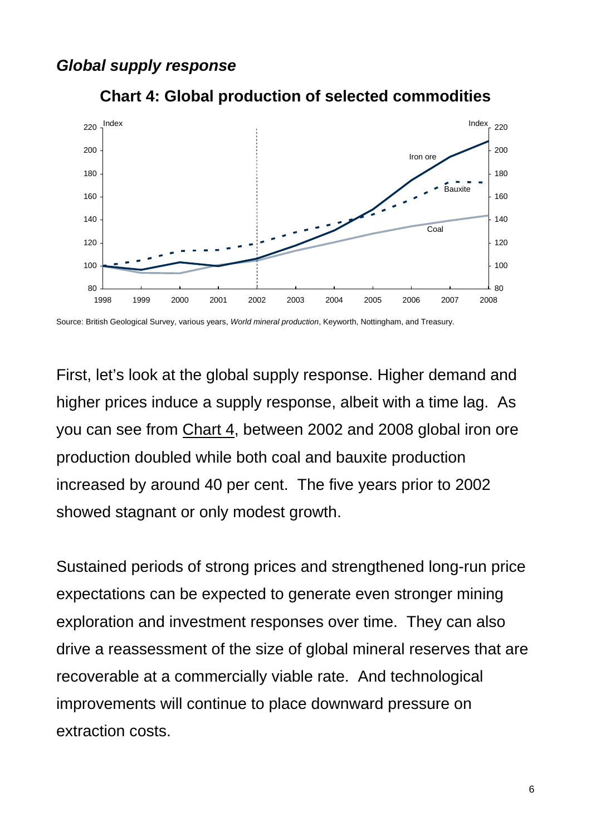#### *Global supply response*



**Chart 4: Global production of selected commodities** 

Source: British Geological Survey, various years, *World mineral production*, Keyworth, Nottingham, and Treasury.

First, let's look at the global supply response. Higher demand and higher prices induce a supply response, albeit with a time lag. As you can see from Chart 4, between 2002 and 2008 global iron ore production doubled while both coal and bauxite production increased by around 40 per cent. The five years prior to 2002 showed stagnant or only modest growth.

Sustained periods of strong prices and strengthened long-run price expectations can be expected to generate even stronger mining exploration and investment responses over time. They can also drive a reassessment of the size of global mineral reserves that are recoverable at a commercially viable rate. And technological improvements will continue to place downward pressure on extraction costs.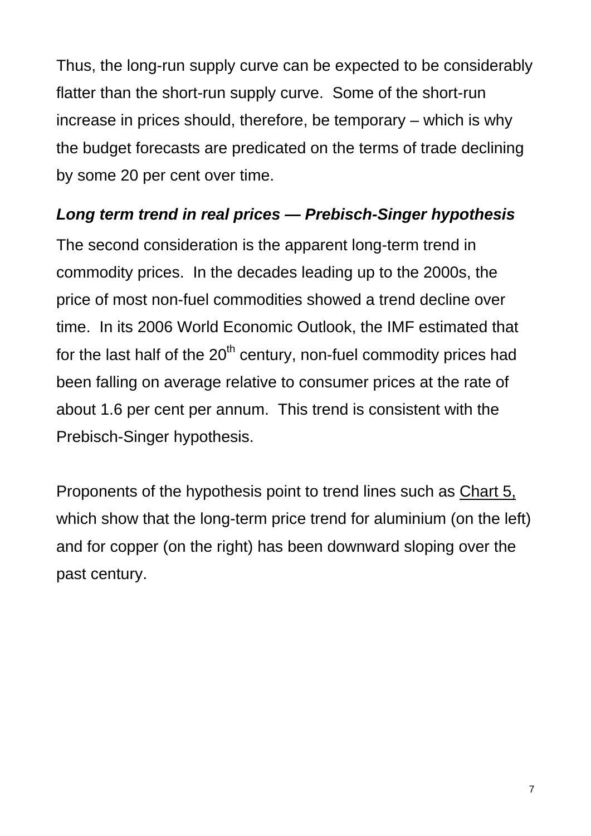Thus, the long-run supply curve can be expected to be considerably flatter than the short-run supply curve. Some of the short-run increase in prices should, therefore, be temporary – which is why the budget forecasts are predicated on the terms of trade declining by some 20 per cent over time.

### *Long term trend in real prices — Prebisch-Singer hypothesis*

The second consideration is the apparent long-term trend in commodity prices. In the decades leading up to the 2000s, the price of most non-fuel commodities showed a trend decline over time. In its 2006 World Economic Outlook, the IMF estimated that for the last half of the  $20<sup>th</sup>$  century, non-fuel commodity prices had been falling on average relative to consumer prices at the rate of about 1.6 per cent per annum. This trend is consistent with the Prebisch-Singer hypothesis.

Proponents of the hypothesis point to trend lines such as Chart 5, which show that the long-term price trend for aluminium (on the left) and for copper (on the right) has been downward sloping over the past century.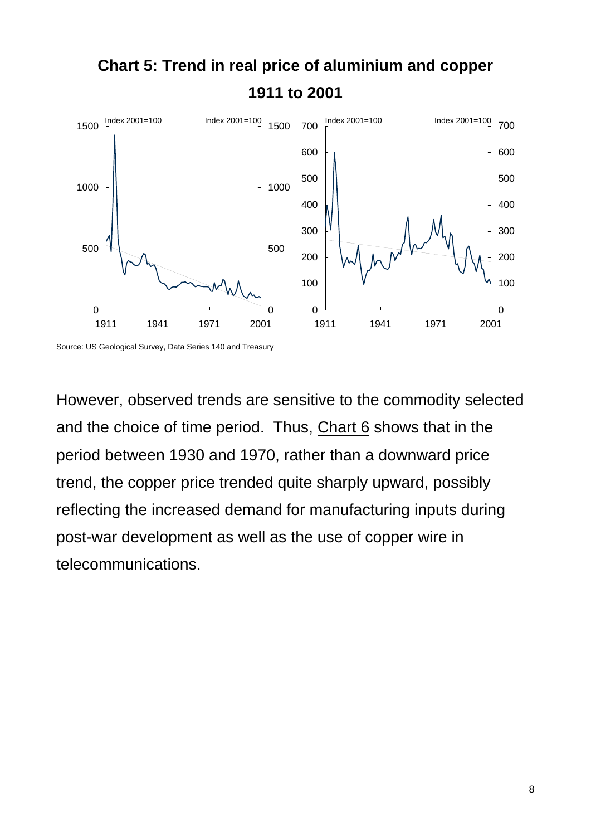

However, observed trends are sensitive to the commodity selected and the choice of time period. Thus, Chart 6 shows that in the period between 1930 and 1970, rather than a downward price trend, the copper price trended quite sharply upward, possibly reflecting the increased demand for manufacturing inputs during post-war development as well as the use of copper wire in telecommunications.

Source: US Geological Survey, Data Series 140 and Treasury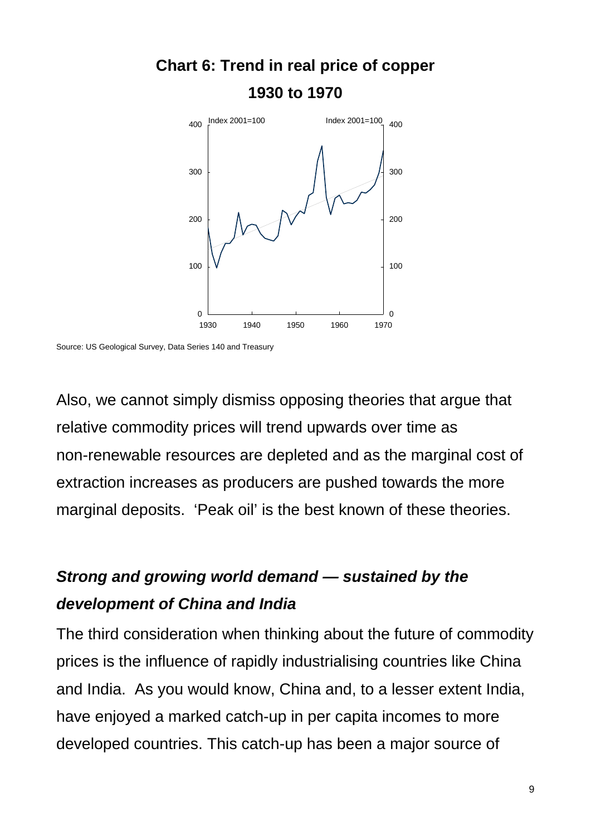

**Chart 6: Trend in real price of copper 1930 to 1970** 

Source: US Geological Survey, Data Series 140 and Treasury

Also, we cannot simply dismiss opposing theories that argue that relative commodity prices will trend upwards over time as non-renewable resources are depleted and as the marginal cost of extraction increases as producers are pushed towards the more marginal deposits. 'Peak oil' is the best known of these theories.

### *Strong and growing world demand — sustained by the development of China and India*

The third consideration when thinking about the future of commodity prices is the influence of rapidly industrialising countries like China and India. As you would know, China and, to a lesser extent India, have enjoyed a marked catch-up in per capita incomes to more developed countries. This catch-up has been a major source of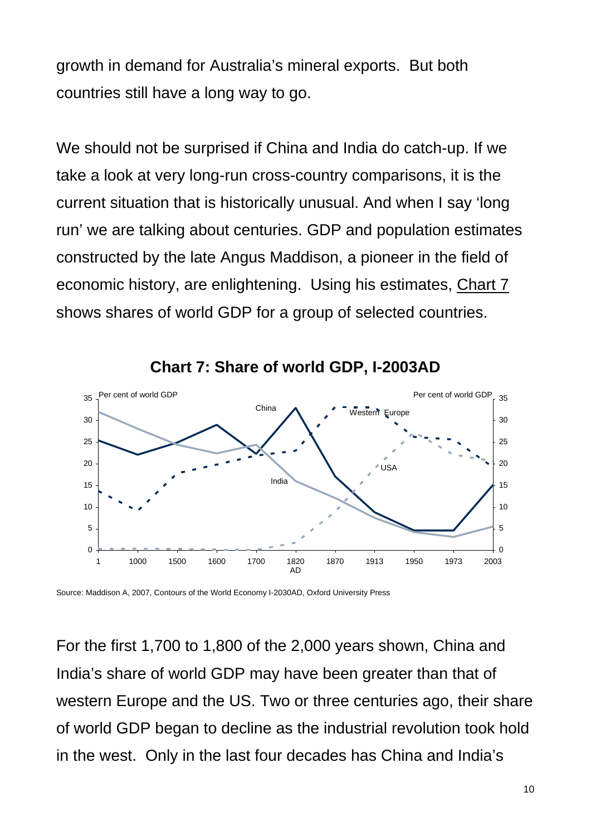growth in demand for Australia's mineral exports. But both countries still have a long way to go.

We should not be surprised if China and India do catch-up. If we take a look at very long-run cross-country comparisons, it is the current situation that is historically unusual. And when I say 'long run' we are talking about centuries. GDP and population estimates constructed by the late Angus Maddison, a pioneer in the field of economic history, are enlightening. Using his estimates, Chart 7 shows shares of world GDP for a group of selected countries.





Source: Maddison A, 2007, Contours of the World Economy I-2030AD, Oxford University Press

For the first 1,700 to 1,800 of the 2,000 years shown, China and India's share of world GDP may have been greater than that of western Europe and the US. Two or three centuries ago, their share of world GDP began to decline as the industrial revolution took hold in the west. Only in the last four decades has China and India's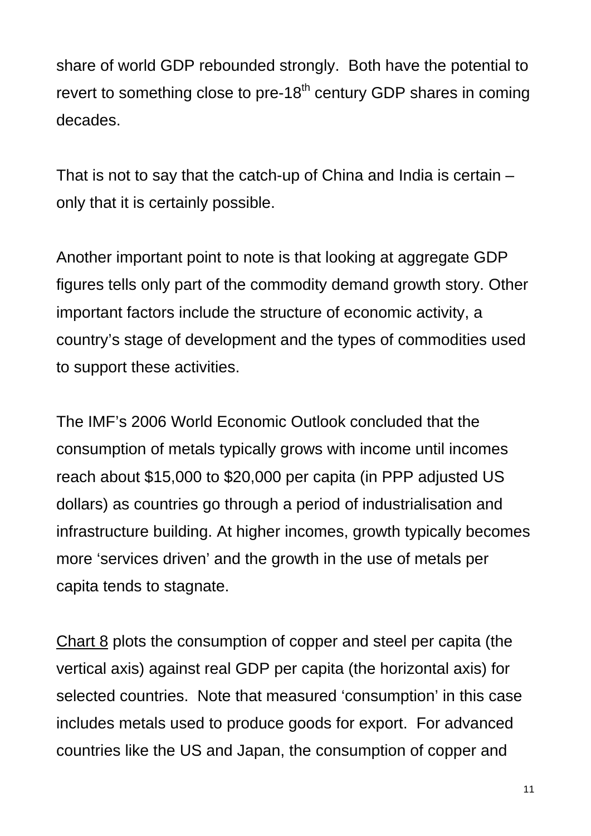share of world GDP rebounded strongly. Both have the potential to revert to something close to pre-18<sup>th</sup> century GDP shares in coming decades.

That is not to say that the catch-up of China and India is certain – only that it is certainly possible.

Another important point to note is that looking at aggregate GDP figures tells only part of the commodity demand growth story. Other important factors include the structure of economic activity, a country's stage of development and the types of commodities used to support these activities.

The IMF's 2006 World Economic Outlook concluded that the consumption of metals typically grows with income until incomes reach about \$15,000 to \$20,000 per capita (in PPP adjusted US dollars) as countries go through a period of industrialisation and infrastructure building. At higher incomes, growth typically becomes more 'services driven' and the growth in the use of metals per capita tends to stagnate.

Chart 8 plots the consumption of copper and steel per capita (the vertical axis) against real GDP per capita (the horizontal axis) for selected countries. Note that measured 'consumption' in this case includes metals used to produce goods for export. For advanced countries like the US and Japan, the consumption of copper and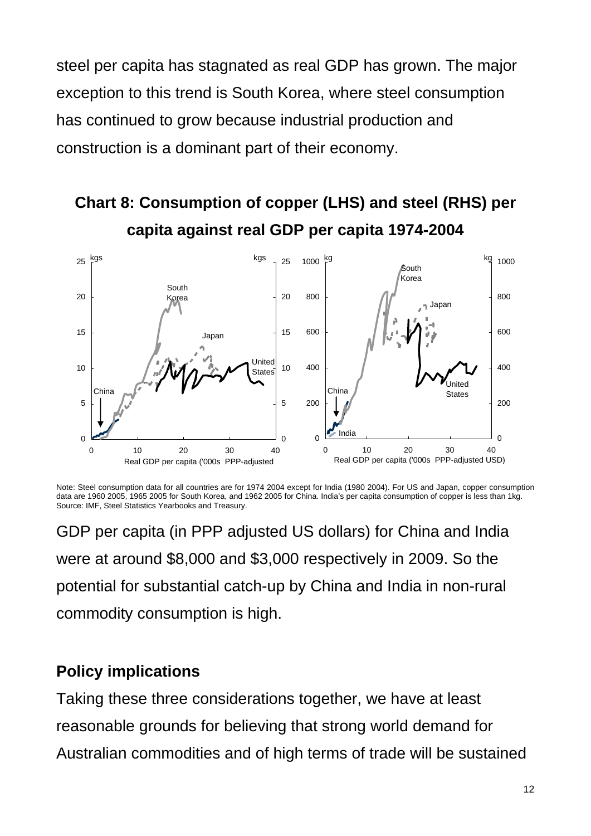steel per capita has stagnated as real GDP has grown. The major exception to this trend is South Korea, where steel consumption has continued to grow because industrial production and construction is a dominant part of their economy.

## **Chart 8: Consumption of copper (LHS) and steel (RHS) per capita against real GDP per capita 1974-2004**



Note: Steel consumption data for all countries are for 1974 2004 except for India (1980 2004). For US and Japan, copper consumption data are 1960 2005, 1965 2005 for South Korea, and 1962 2005 for China. India's per capita consumption of copper is less than 1kg. Source: IMF, Steel Statistics Yearbooks and Treasury.

GDP per capita (in PPP adjusted US dollars) for China and India were at around \$8,000 and \$3,000 respectively in 2009. So the potential for substantial catch-up by China and India in non-rural commodity consumption is high.

### **Policy implications**

Taking these three considerations together, we have at least reasonable grounds for believing that strong world demand for Australian commodities and of high terms of trade will be sustained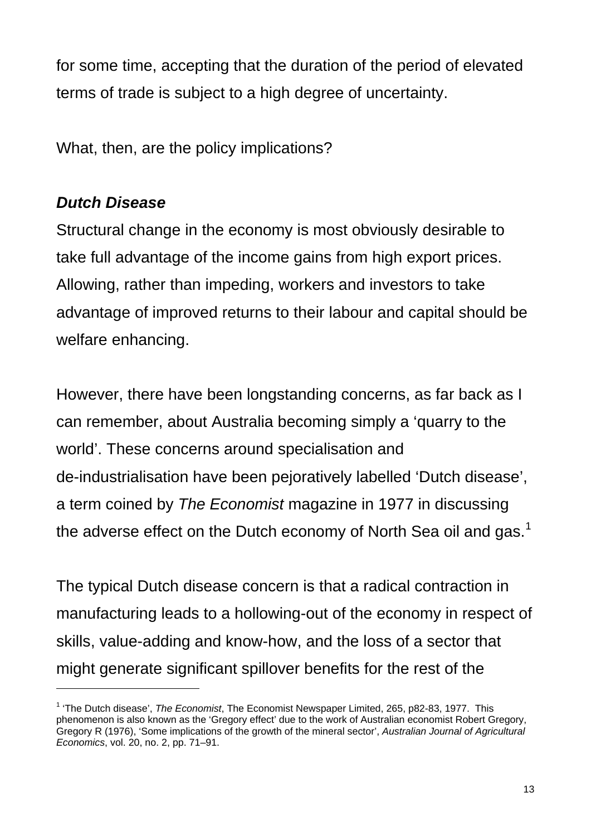for some time, accepting that the duration of the period of elevated terms of trade is subject to a high degree of uncertainty.

What, then, are the policy implications?

### *Dutch Disease*

l

Structural change in the economy is most obviously desirable to take full advantage of the income gains from high export prices. Allowing, rather than impeding, workers and investors to take advantage of improved returns to their labour and capital should be welfare enhancing.

However, there have been longstanding concerns, as far back as I can remember, about Australia becoming simply a 'quarry to the world'. These concerns around specialisation and de-industrialisation have been pejoratively labelled 'Dutch disease', a term coined by *The Economist* magazine in 1977 in discussing the adverse effect on the Dutch economy of North Sea oil and gas.<sup>[1](#page-12-0)</sup>

The typical Dutch disease concern is that a radical contraction in manufacturing leads to a hollowing-out of the economy in respect of skills, value-adding and know-how, and the loss of a sector that might generate significant spillover benefits for the rest of the

<span id="page-12-0"></span><sup>&</sup>lt;sup>1</sup> 'The Dutch disease', *The Economist*, The Economist Newspaper Limited, 265, p82-83, 1977. This phenomenon is also known as the 'Gregory effect' due to the work of Australian economist Robert Gregory, Gregory R (1976), 'Some implications of the growth of the mineral sector', *Australian Journal of Agricultural Economics*, vol. 20, no. 2, pp. 71–91.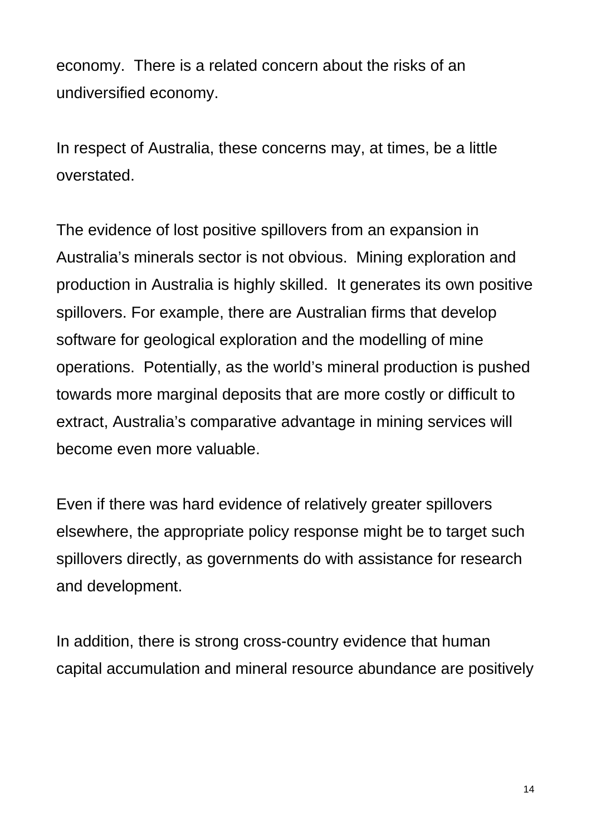economy. There is a related concern about the risks of an undiversified economy.

In respect of Australia, these concerns may, at times, be a little overstated.

The evidence of lost positive spillovers from an expansion in Australia's minerals sector is not obvious. Mining exploration and production in Australia is highly skilled. It generates its own positive spillovers. For example, there are Australian firms that develop software for geological exploration and the modelling of mine operations. Potentially, as the world's mineral production is pushed towards more marginal deposits that are more costly or difficult to extract, Australia's comparative advantage in mining services will become even more valuable.

Even if there was hard evidence of relatively greater spillovers elsewhere, the appropriate policy response might be to target such spillovers directly, as governments do with assistance for research and development.

In addition, there is strong cross-country evidence that human capital accumulation and mineral resource abundance are positively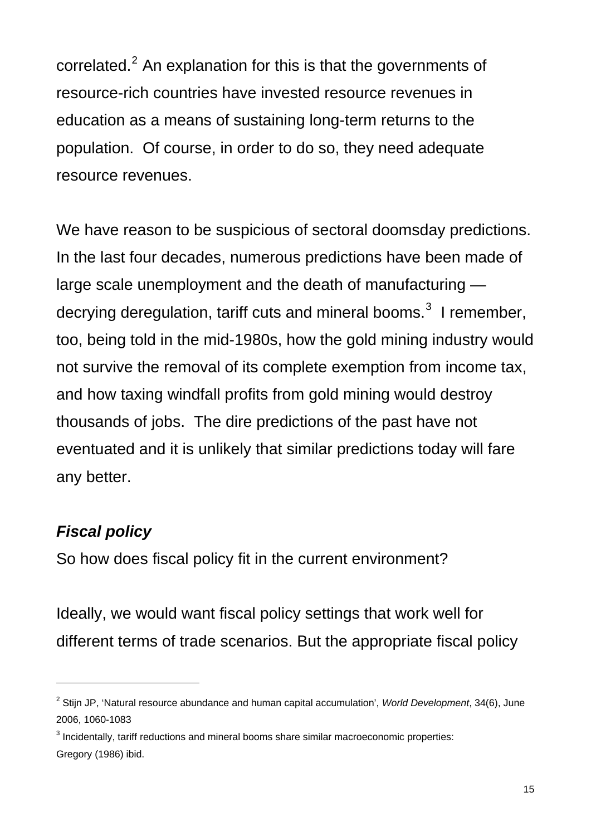correlated. $2$  An explanation for this is that the governments of resource-rich countries have invested resource revenues in education as a means of sustaining long-term returns to the population. Of course, in order to do so, they need adequate resource revenues.

We have reason to be suspicious of sectoral doomsday predictions. In the last four decades, numerous predictions have been made of large scale unemployment and the death of manufacturing decrying deregulation, tariff cuts and mineral booms. $^3$  $^3$  I remember, too, being told in the mid-1980s, how the gold mining industry would not survive the removal of its complete exemption from income tax, and how taxing windfall profits from gold mining would destroy thousands of jobs. The dire predictions of the past have not eventuated and it is unlikely that similar predictions today will fare any better.

### *Fiscal policy*

 $\overline{a}$ 

So how does fiscal policy fit in the current environment?

Ideally, we would want fiscal policy settings that work well for different terms of trade scenarios. But the appropriate fiscal policy

<span id="page-14-0"></span><sup>2</sup> Stijn JP, 'Natural resource abundance and human capital accumulation', *World Development*, 34(6), June 2006, 1060-1083

<span id="page-14-1"></span> $3$  Incidentally, tariff reductions and mineral booms share similar macroeconomic properties: Gregory (1986) ibid.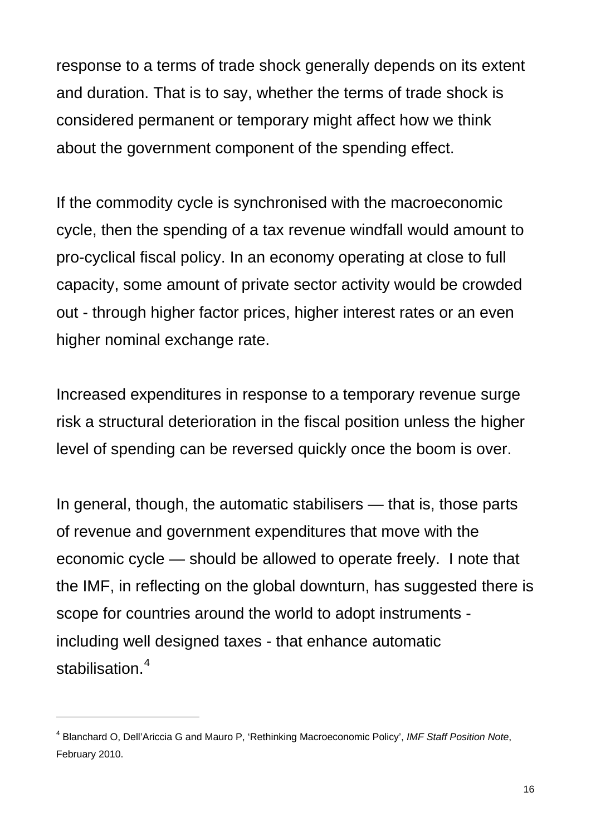response to a terms of trade shock generally depends on its extent and duration. That is to say, whether the terms of trade shock is considered permanent or temporary might affect how we think about the government component of the spending effect.

If the commodity cycle is synchronised with the macroeconomic cycle, then the spending of a tax revenue windfall would amount to pro-cyclical fiscal policy. In an economy operating at close to full capacity, some amount of private sector activity would be crowded out - through higher factor prices, higher interest rates or an even higher nominal exchange rate.

Increased expenditures in response to a temporary revenue surge risk a structural deterioration in the fiscal position unless the higher level of spending can be reversed quickly once the boom is over.

In general, though, the automatic stabilisers — that is, those parts of revenue and government expenditures that move with the economic cycle — should be allowed to operate freely. I note that the IMF, in reflecting on the global downturn, has suggested there is scope for countries around the world to adopt instruments including well designed taxes - that enhance automatic stabilisation.<sup>[4](#page-15-0)</sup>

<span id="page-15-0"></span><sup>4</sup> Blanchard O, Dell'Ariccia G and Mauro P, 'Rethinking Macroeconomic Policy', *IMF Staff Position Note*, February 2010.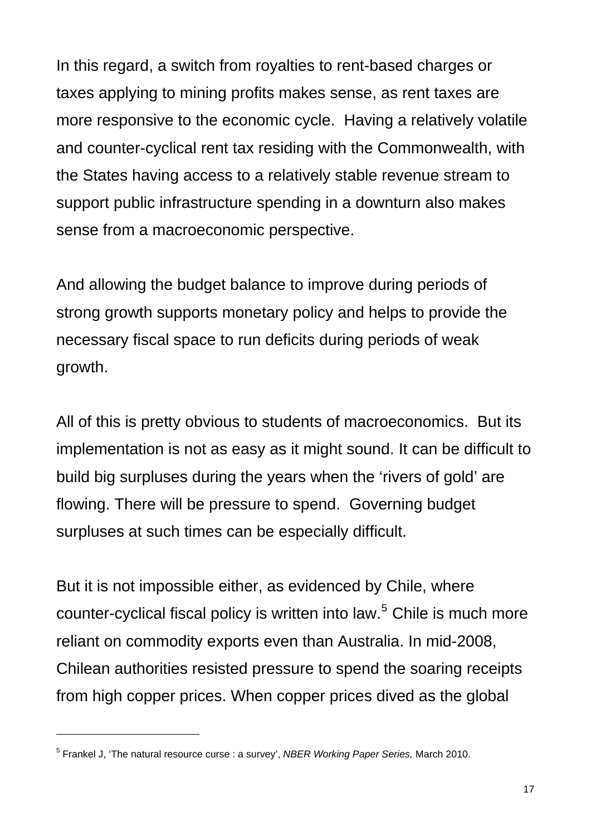In this regard, a switch from royalties to rent-based charges or taxes applying to mining profits makes sense, as rent taxes are more responsive to the economic cycle. Having a relatively volatile and counter-cyclical rent tax residing with the Commonwealth, with the States having access to a relatively stable revenue stream to support public infrastructure spending in a downturn also makes sense from a macroeconomic perspective.

And allowing the budget balance to improve during periods of strong growth supports monetary policy and helps to provide the necessary fiscal space to run deficits during periods of weak growth.

All of this is pretty obvious to students of macroeconomics. But its implementation is not as easy as it might sound. It can be difficult to build big surpluses during the years when the 'rivers of gold' are flowing. There will be pressure to spend. Governing budget surpluses at such times can be especially difficult.

But it is not impossible either, as evidenced by Chile, where counter-cyclical fiscal policy is written into law.<sup>[5](#page-16-0)</sup> Chile is much more reliant on commodity exports even than Australia. In mid-2008, Chilean authorities resisted pressure to spend the soaring receipts from high copper prices. When copper prices dived as the global

<span id="page-16-0"></span><sup>5</sup> Frankel J, 'The natural resource curse : a survey', *NBER Working Paper Series,* March 2010.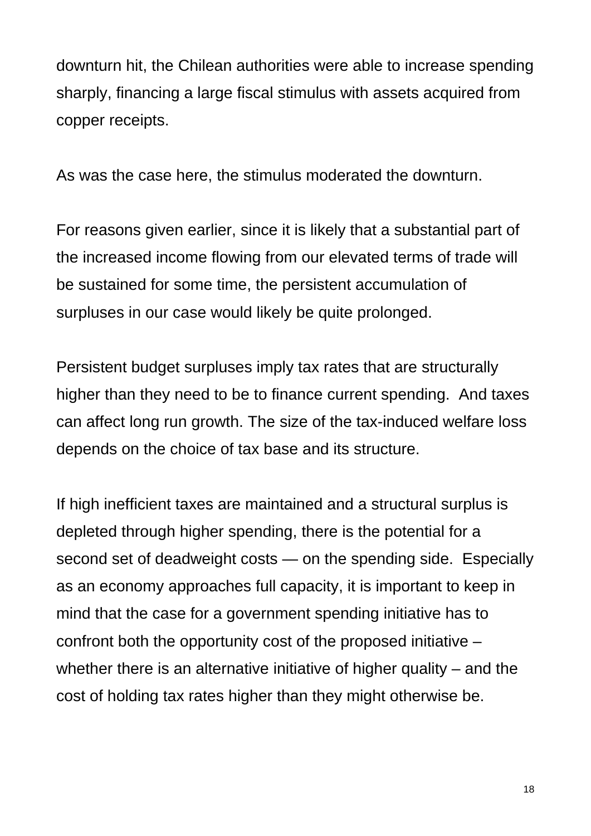downturn hit, the Chilean authorities were able to increase spending sharply, financing a large fiscal stimulus with assets acquired from copper receipts.

As was the case here, the stimulus moderated the downturn.

For reasons given earlier, since it is likely that a substantial part of the increased income flowing from our elevated terms of trade will be sustained for some time, the persistent accumulation of surpluses in our case would likely be quite prolonged.

Persistent budget surpluses imply tax rates that are structurally higher than they need to be to finance current spending. And taxes can affect long run growth. The size of the tax-induced welfare loss depends on the choice of tax base and its structure.

If high inefficient taxes are maintained and a structural surplus is depleted through higher spending, there is the potential for a second set of deadweight costs — on the spending side. Especially as an economy approaches full capacity, it is important to keep in mind that the case for a government spending initiative has to confront both the opportunity cost of the proposed initiative – whether there is an alternative initiative of higher quality – and the cost of holding tax rates higher than they might otherwise be.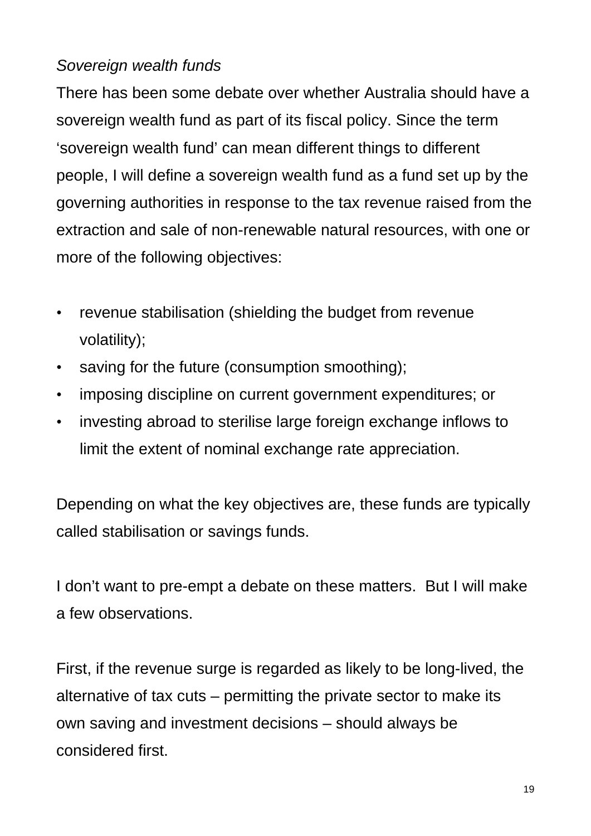### *Sovereign wealth funds*

There has been some debate over whether Australia should have a sovereign wealth fund as part of its fiscal policy. Since the term 'sovereign wealth fund' can mean different things to different people, I will define a sovereign wealth fund as a fund set up by the governing authorities in response to the tax revenue raised from the extraction and sale of non-renewable natural resources, with one or more of the following objectives:

- revenue stabilisation (shielding the budget from revenue volatility);
- saving for the future (consumption smoothing);
- imposing discipline on current government expenditures; or
- investing abroad to sterilise large foreign exchange inflows to limit the extent of nominal exchange rate appreciation.

Depending on what the key objectives are, these funds are typically called stabilisation or savings funds.

I don't want to pre-empt a debate on these matters. But I will make a few observations.

First, if the revenue surge is regarded as likely to be long-lived, the alternative of tax cuts – permitting the private sector to make its own saving and investment decisions – should always be considered first.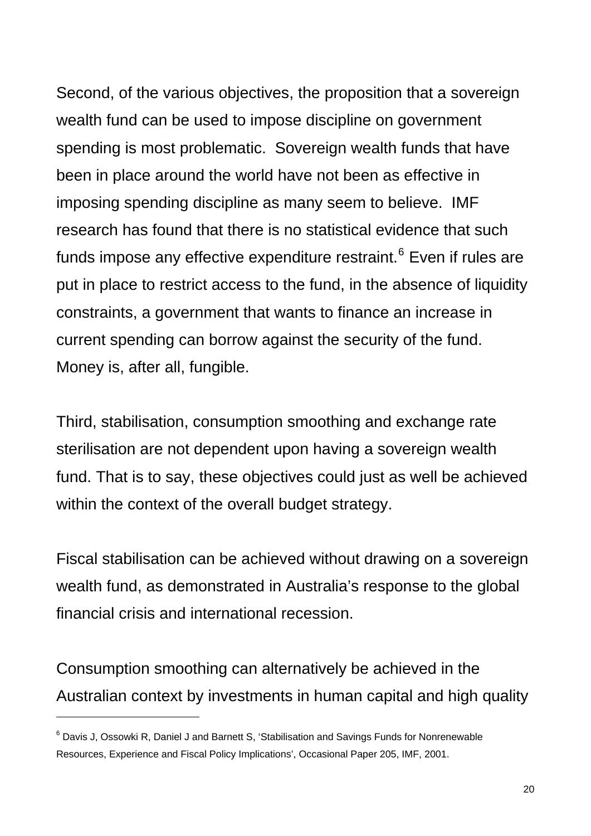Second, of the various objectives, the proposition that a sovereign wealth fund can be used to impose discipline on government spending is most problematic. Sovereign wealth funds that have been in place around the world have not been as effective in imposing spending discipline as many seem to believe. IMF research has found that there is no statistical evidence that such funds impose any effective expenditure restraint. $^6$  $^6$  Even if rules are put in place to restrict access to the fund, in the absence of liquidity constraints, a government that wants to finance an increase in current spending can borrow against the security of the fund. Money is, after all, fungible.

Third, stabilisation, consumption smoothing and exchange rate sterilisation are not dependent upon having a sovereign wealth fund. That is to say, these objectives could just as well be achieved within the context of the overall budget strategy.

Fiscal stabilisation can be achieved without drawing on a sovereign wealth fund, as demonstrated in Australia's response to the global financial crisis and international recession.

Consumption smoothing can alternatively be achieved in the Australian context by investments in human capital and high quality

<span id="page-19-0"></span> $^6$  Davis J, Ossowki R, Daniel J and Barnett S, 'Stabilisation and Savings Funds for Nonrenewable Resources, Experience and Fiscal Policy Implications', Occasional Paper 205, IMF, 2001.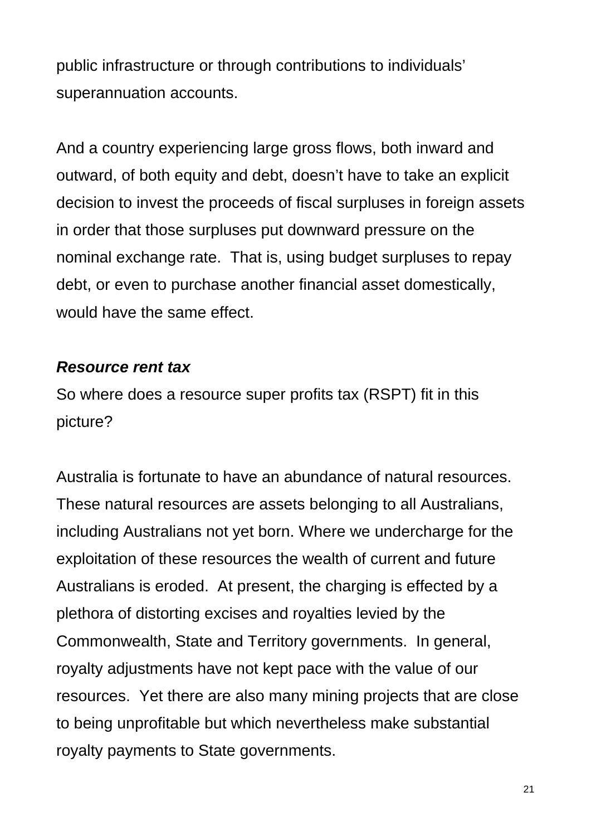public infrastructure or through contributions to individuals' superannuation accounts.

And a country experiencing large gross flows, both inward and outward, of both equity and debt, doesn't have to take an explicit decision to invest the proceeds of fiscal surpluses in foreign assets in order that those surpluses put downward pressure on the nominal exchange rate. That is, using budget surpluses to repay debt, or even to purchase another financial asset domestically, would have the same effect.

### *Resource rent tax*

So where does a resource super profits tax (RSPT) fit in this picture?

Australia is fortunate to have an abundance of natural resources. These natural resources are assets belonging to all Australians, including Australians not yet born. Where we undercharge for the exploitation of these resources the wealth of current and future Australians is eroded. At present, the charging is effected by a plethora of distorting excises and royalties levied by the Commonwealth, State and Territory governments. In general, royalty adjustments have not kept pace with the value of our resources. Yet there are also many mining projects that are close to being unprofitable but which nevertheless make substantial royalty payments to State governments.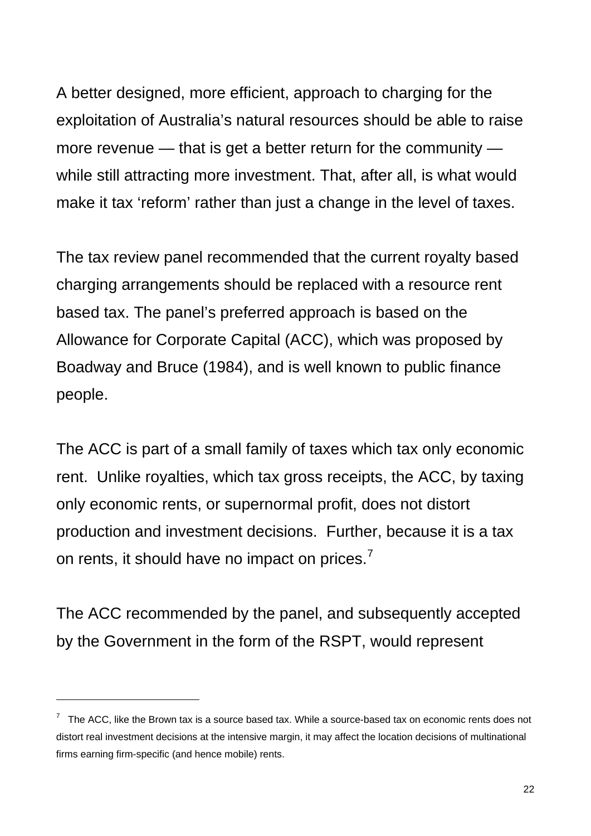A better designed, more efficient, approach to charging for the exploitation of Australia's natural resources should be able to raise more revenue — that is get a better return for the community while still attracting more investment. That, after all, is what would make it tax 'reform' rather than just a change in the level of taxes.

The tax review panel recommended that the current royalty based charging arrangements should be replaced with a resource rent based tax. The panel's preferred approach is based on the Allowance for Corporate Capital (ACC), which was proposed by Boadway and Bruce (1984), and is well known to public finance people.

The ACC is part of a small family of taxes which tax only economic rent. Unlike royalties, which tax gross receipts, the ACC, by taxing only economic rents, or supernormal profit, does not distort production and investment decisions. Further, because it is a tax on rents, it should have no impact on prices.<sup>[7](#page-21-0)</sup>

The ACC recommended by the panel, and subsequently accepted by the Government in the form of the RSPT, would represent

<span id="page-21-0"></span> $7$  The ACC, like the Brown tax is a source based tax. While a source-based tax on economic rents does not distort real investment decisions at the intensive margin, it may affect the location decisions of multinational firms earning firm-specific (and hence mobile) rents.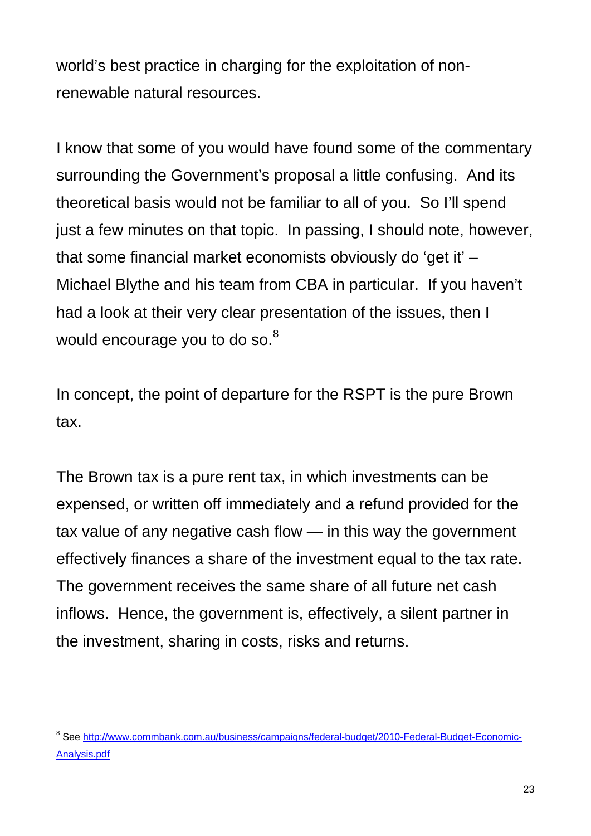world's best practice in charging for the exploitation of nonrenewable natural resources.

I know that some of you would have found some of the commentary surrounding the Government's proposal a little confusing. And its theoretical basis would not be familiar to all of you. So I'll spend just a few minutes on that topic. In passing, I should note, however, that some financial market economists obviously do 'get it' – Michael Blythe and his team from CBA in particular. If you haven't had a look at their very clear presentation of the issues, then I would encourage you to do so.<sup>[8](#page-22-0)</sup>

In concept, the point of departure for the RSPT is the pure Brown tax.

The Brown tax is a pure rent tax, in which investments can be expensed, or written off immediately and a refund provided for the tax value of any negative cash flow — in this way the government effectively finances a share of the investment equal to the tax rate. The government receives the same share of all future net cash inflows. Hence, the government is, effectively, a silent partner in the investment, sharing in costs, risks and returns.

<span id="page-22-0"></span><sup>&</sup>lt;sup>8</sup> See [http://www.commbank.com.au/business/campaigns/federal-budget/2010-Federal-Budget-Economic-](http://www.commbank.com.au/business/campaigns/federal-budget/2010-Federal-Budget-Economic-Analysis.pdf)[Analysis.pdf](http://www.commbank.com.au/business/campaigns/federal-budget/2010-Federal-Budget-Economic-Analysis.pdf)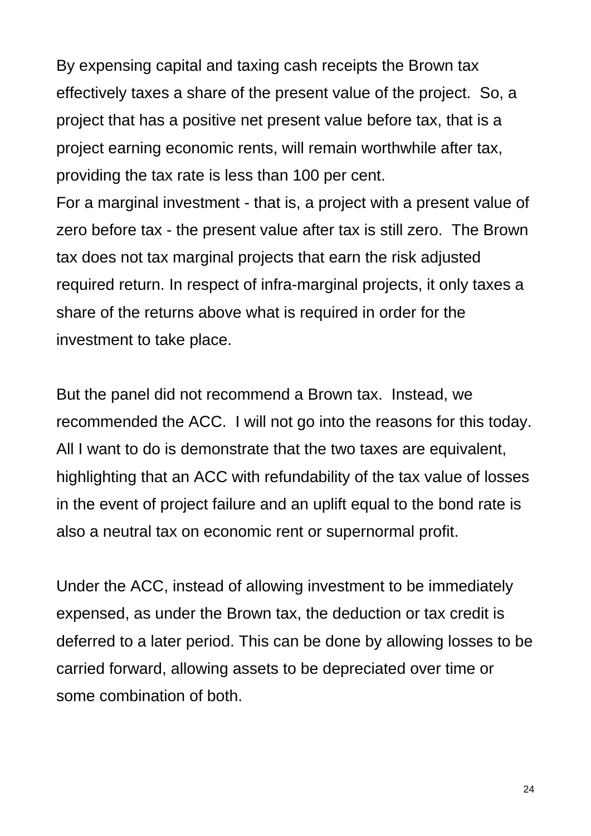By expensing capital and taxing cash receipts the Brown tax effectively taxes a share of the present value of the project. So, a project that has a positive net present value before tax, that is a project earning economic rents, will remain worthwhile after tax, providing the tax rate is less than 100 per cent.

For a marginal investment - that is, a project with a present value of zero before tax - the present value after tax is still zero. The Brown tax does not tax marginal projects that earn the risk adjusted required return. In respect of infra-marginal projects, it only taxes a share of the returns above what is required in order for the investment to take place.

But the panel did not recommend a Brown tax. Instead, we recommended the ACC. I will not go into the reasons for this today. All I want to do is demonstrate that the two taxes are equivalent, highlighting that an ACC with refundability of the tax value of losses in the event of project failure and an uplift equal to the bond rate is also a neutral tax on economic rent or supernormal profit.

Under the ACC, instead of allowing investment to be immediately expensed, as under the Brown tax, the deduction or tax credit is deferred to a later period. This can be done by allowing losses to be carried forward, allowing assets to be depreciated over time or some combination of both.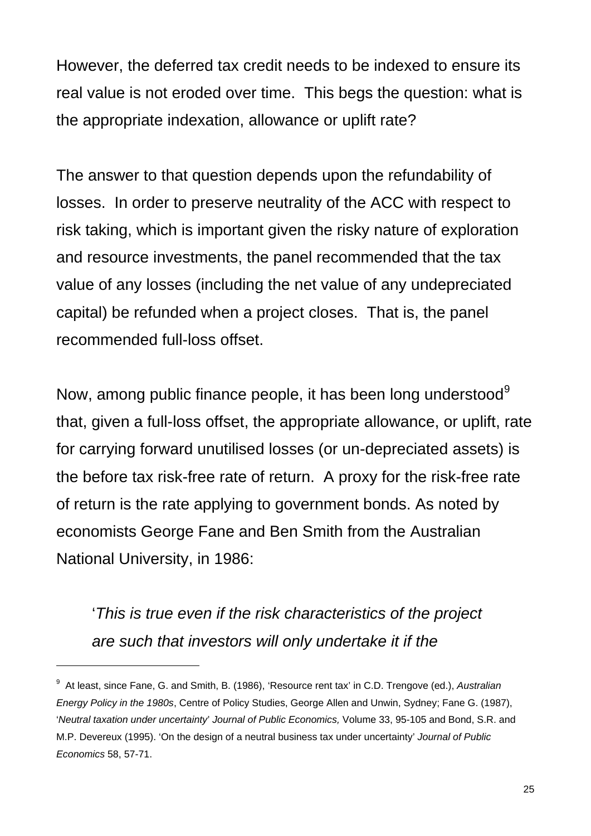However, the deferred tax credit needs to be indexed to ensure its real value is not eroded over time. This begs the question: what is the appropriate indexation, allowance or uplift rate?

The answer to that question depends upon the refundability of losses. In order to preserve neutrality of the ACC with respect to risk taking, which is important given the risky nature of exploration and resource investments, the panel recommended that the tax value of any losses (including the net value of any undepreciated capital) be refunded when a project closes. That is, the panel recommended full-loss offset.

Now, among public finance people, it has been long understood<sup>[9](#page-24-0)</sup> that, given a full-loss offset, the appropriate allowance, or uplift, rate for carrying forward unutilised losses (or un-depreciated assets) is the before tax risk-free rate of return. A proxy for the risk-free rate of return is the rate applying to government bonds. As noted by economists George Fane and Ben Smith from the Australian National University, in 1986:

'*This is true even if the risk characteristics of the project are such that investors will only undertake it if the* 

<span id="page-24-0"></span><sup>9</sup> At least, since Fane, G. and Smith, B. (1986), 'Resource rent tax' in C.D. Trengove (ed.), *Australian Energy Policy in the 1980s*, Centre of Policy Studies, George Allen and Unwin, Sydney; Fane G. (1987), '*Neutral taxation under uncertainty*' *Journal of Public Economics,* Volume 33, 95-105 and Bond, S.R. and M.P. Devereux (1995). 'On the design of a neutral business tax under uncertainty' *Journal of Public Economics* 58, 57-71.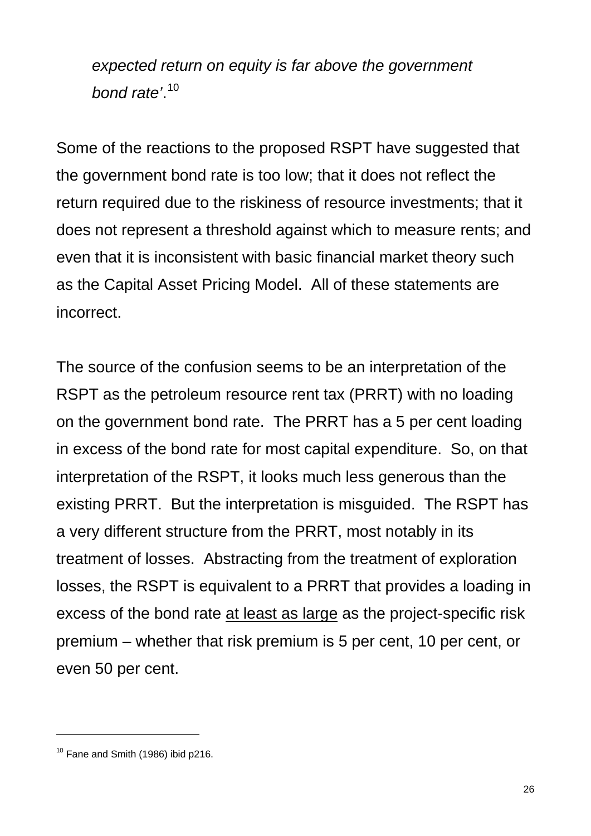*expected return on equity is far above the government bond rate'*. [10](#page-25-0)

Some of the reactions to the proposed RSPT have suggested that the government bond rate is too low; that it does not reflect the return required due to the riskiness of resource investments; that it does not represent a threshold against which to measure rents; and even that it is inconsistent with basic financial market theory such as the Capital Asset Pricing Model. All of these statements are incorrect.

The source of the confusion seems to be an interpretation of the RSPT as the petroleum resource rent tax (PRRT) with no loading on the government bond rate. The PRRT has a 5 per cent loading in excess of the bond rate for most capital expenditure. So, on that interpretation of the RSPT, it looks much less generous than the existing PRRT. But the interpretation is misguided. The RSPT has a very different structure from the PRRT, most notably in its treatment of losses. Abstracting from the treatment of exploration losses, the RSPT is equivalent to a PRRT that provides a loading in excess of the bond rate at least as large as the project-specific risk premium – whether that risk premium is 5 per cent, 10 per cent, or even 50 per cent.

<span id="page-25-0"></span> $10$  Fane and Smith (1986) ibid p216.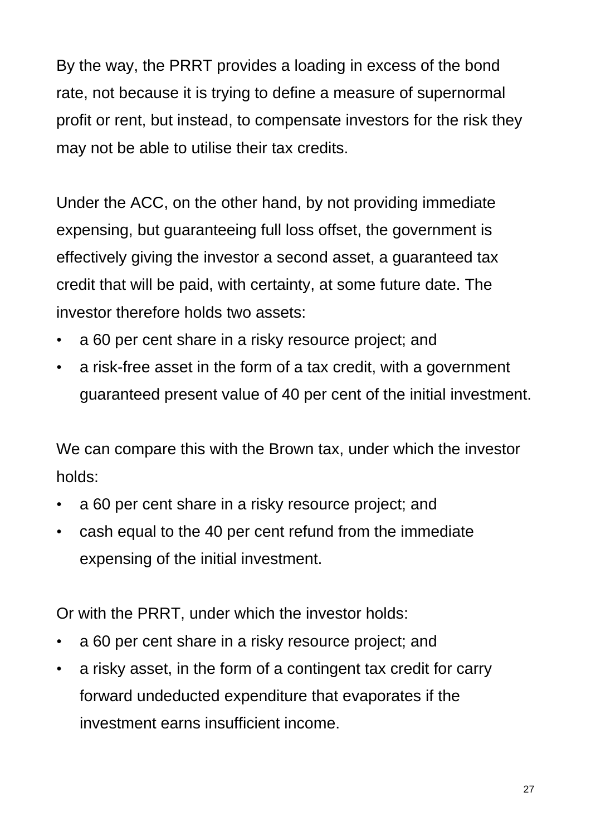By the way, the PRRT provides a loading in excess of the bond rate, not because it is trying to define a measure of supernormal profit or rent, but instead, to compensate investors for the risk they may not be able to utilise their tax credits.

Under the ACC, on the other hand, by not providing immediate expensing, but guaranteeing full loss offset, the government is effectively giving the investor a second asset, a guaranteed tax credit that will be paid, with certainty, at some future date. The investor therefore holds two assets:

- a 60 per cent share in a risky resource project; and
- a risk-free asset in the form of a tax credit, with a government guaranteed present value of 40 per cent of the initial investment.

We can compare this with the Brown tax, under which the investor holds:

- a 60 per cent share in a risky resource project; and
- cash equal to the 40 per cent refund from the immediate expensing of the initial investment.

Or with the PRRT, under which the investor holds:

- a 60 per cent share in a risky resource project; and
- a risky asset, in the form of a contingent tax credit for carry forward undeducted expenditure that evaporates if the investment earns insufficient income.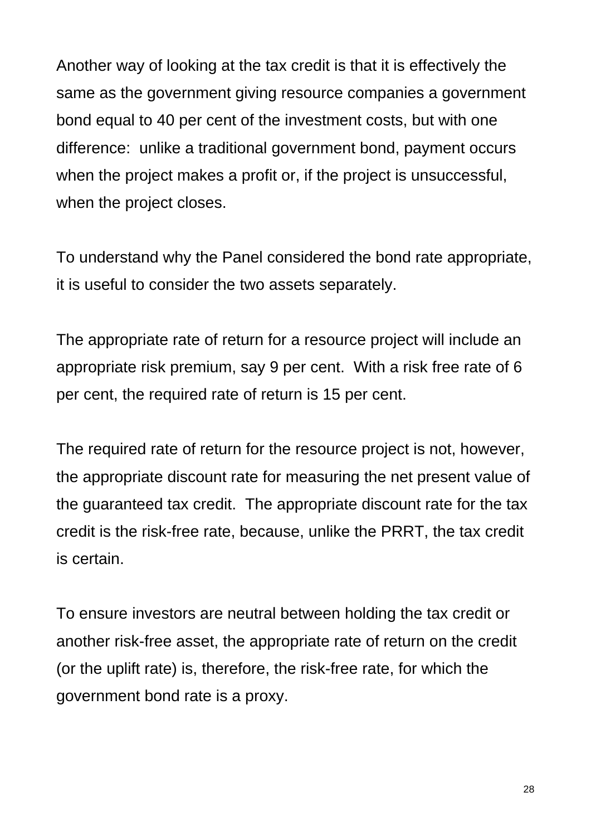Another way of looking at the tax credit is that it is effectively the same as the government giving resource companies a government bond equal to 40 per cent of the investment costs, but with one difference: unlike a traditional government bond, payment occurs when the project makes a profit or, if the project is unsuccessful, when the project closes.

To understand why the Panel considered the bond rate appropriate, it is useful to consider the two assets separately.

The appropriate rate of return for a resource project will include an appropriate risk premium, say 9 per cent. With a risk free rate of 6 per cent, the required rate of return is 15 per cent.

The required rate of return for the resource project is not, however, the appropriate discount rate for measuring the net present value of the guaranteed tax credit. The appropriate discount rate for the tax credit is the risk-free rate, because, unlike the PRRT, the tax credit is certain.

To ensure investors are neutral between holding the tax credit or another risk-free asset, the appropriate rate of return on the credit (or the uplift rate) is, therefore, the risk-free rate, for which the government bond rate is a proxy.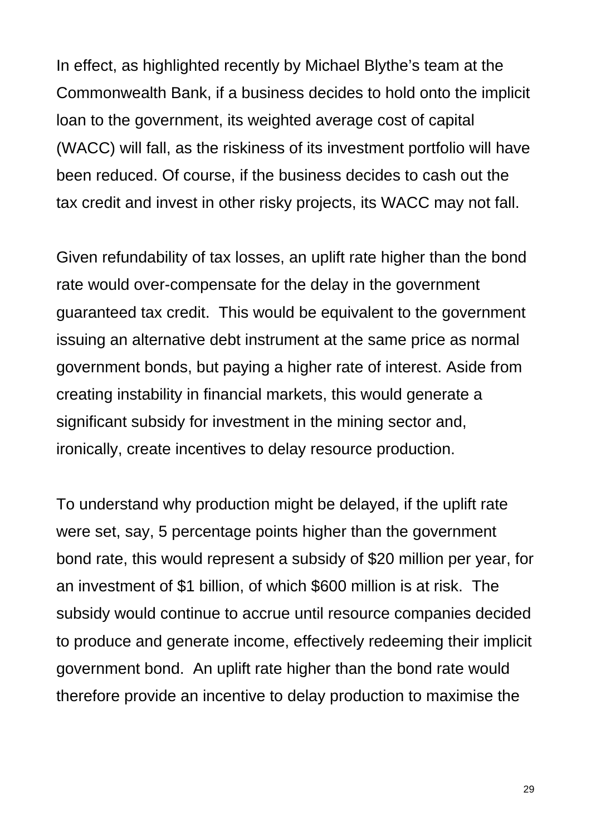In effect, as highlighted recently by Michael Blythe's team at the Commonwealth Bank, if a business decides to hold onto the implicit loan to the government, its weighted average cost of capital (WACC) will fall, as the riskiness of its investment portfolio will have been reduced. Of course, if the business decides to cash out the tax credit and invest in other risky projects, its WACC may not fall.

Given refundability of tax losses, an uplift rate higher than the bond rate would over-compensate for the delay in the government guaranteed tax credit. This would be equivalent to the government issuing an alternative debt instrument at the same price as normal government bonds, but paying a higher rate of interest. Aside from creating instability in financial markets, this would generate a significant subsidy for investment in the mining sector and, ironically, create incentives to delay resource production.

To understand why production might be delayed, if the uplift rate were set, say, 5 percentage points higher than the government bond rate, this would represent a subsidy of \$20 million per year, for an investment of \$1 billion, of which \$600 million is at risk. The subsidy would continue to accrue until resource companies decided to produce and generate income, effectively redeeming their implicit government bond. An uplift rate higher than the bond rate would therefore provide an incentive to delay production to maximise the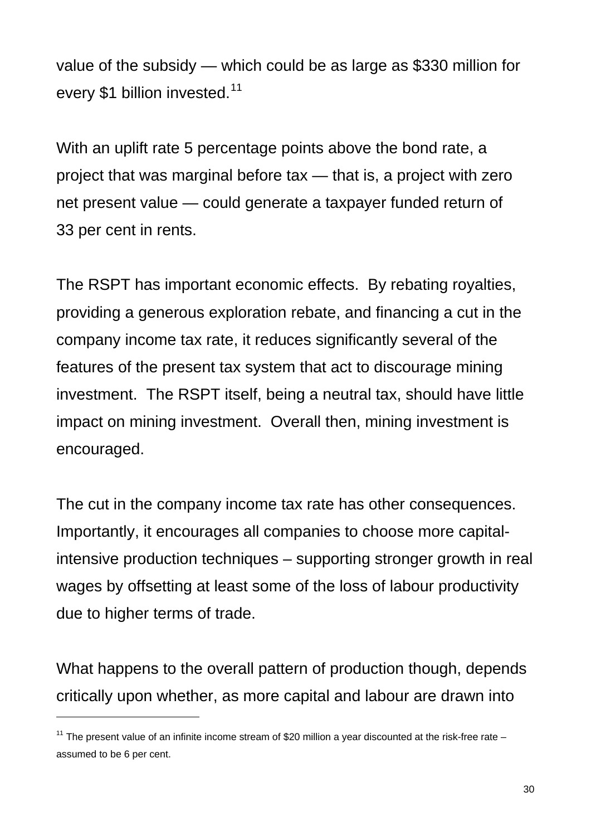value of the subsidy — which could be as large as \$330 million for every \$1 billion invested.<sup>[11](#page-29-0)</sup>

With an uplift rate 5 percentage points above the bond rate, a project that was marginal before tax — that is, a project with zero net present value — could generate a taxpayer funded return of 33 per cent in rents.

The RSPT has important economic effects. By rebating royalties, providing a generous exploration rebate, and financing a cut in the company income tax rate, it reduces significantly several of the features of the present tax system that act to discourage mining investment. The RSPT itself, being a neutral tax, should have little impact on mining investment. Overall then, mining investment is encouraged.

The cut in the company income tax rate has other consequences. Importantly, it encourages all companies to choose more capitalintensive production techniques – supporting stronger growth in real wages by offsetting at least some of the loss of labour productivity due to higher terms of trade.

What happens to the overall pattern of production though, depends critically upon whether, as more capital and labour are drawn into

<span id="page-29-0"></span><sup>&</sup>lt;sup>11</sup> The present value of an infinite income stream of \$20 million a year discounted at the risk-free rate – assumed to be 6 per cent.